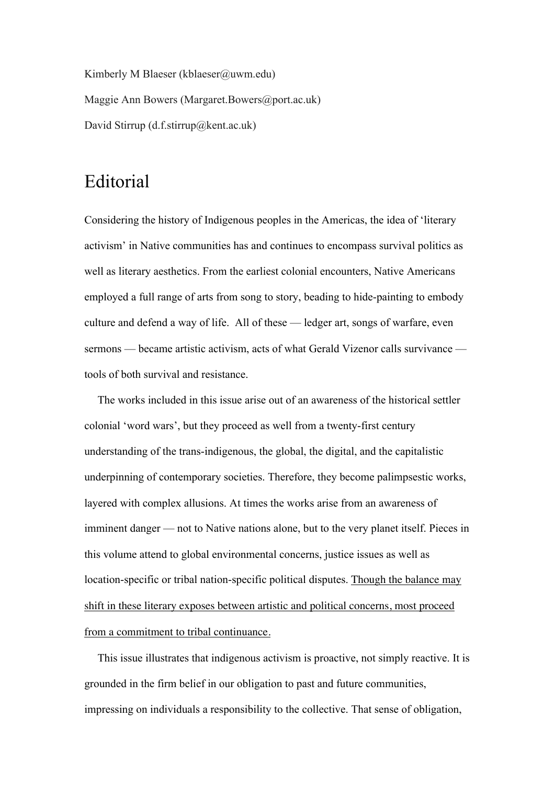Kimberly M Blaeser (kblaeser@uwm.edu) Maggie Ann Bowers (Margaret.Bowers@port.ac.uk) David Stirrup (d.f.stirrup@kent.ac.uk)

## Editorial

Considering the history of Indigenous peoples in the Americas, the idea of 'literary activism' in Native communities has and continues to encompass survival politics as well as literary aesthetics. From the earliest colonial encounters, Native Americans employed a full range of arts from song to story, beading to hide-painting to embody culture and defend a way of life. All of these — ledger art, songs of warfare, even sermons — became artistic activism, acts of what Gerald Vizenor calls survivance tools of both survival and resistance.

The works included in this issue arise out of an awareness of the historical settler colonial 'word wars', but they proceed as well from a twenty-first century understanding of the trans-indigenous, the global, the digital, and the capitalistic underpinning of contemporary societies. Therefore, they become palimpsestic works, layered with complex allusions. At times the works arise from an awareness of imminent danger — not to Native nations alone, but to the very planet itself. Pieces in this volume attend to global environmental concerns, justice issues as well as location-specific or tribal nation-specific political disputes. Though the balance may shift in these literary exposes between artistic and political concerns, most proceed from a commitment to tribal continuance.

This issue illustrates that indigenous activism is proactive, not simply reactive. It is grounded in the firm belief in our obligation to past and future communities, impressing on individuals a responsibility to the collective. That sense of obligation,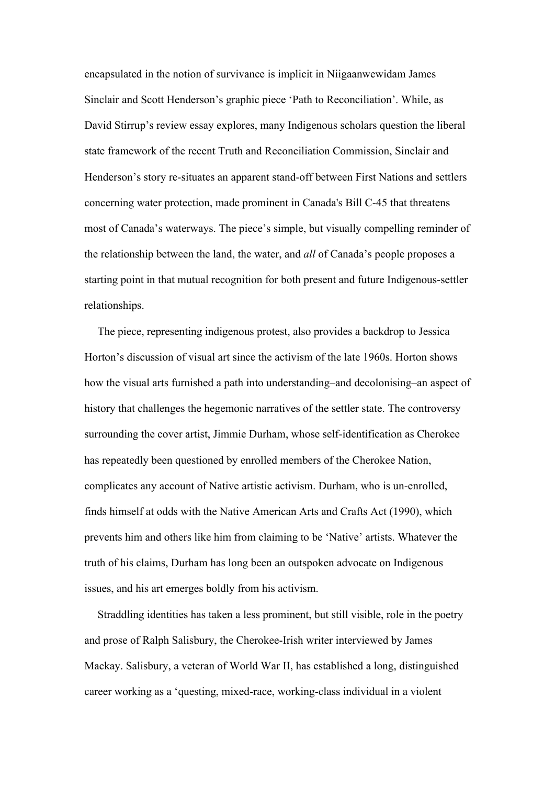encapsulated in the notion of survivance is implicit in Niigaanwewidam James Sinclair and Scott Henderson's graphic piece 'Path to Reconciliation'. While, as David Stirrup's review essay explores, many Indigenous scholars question the liberal state framework of the recent Truth and Reconciliation Commission, Sinclair and Henderson's story re-situates an apparent stand-off between First Nations and settlers concerning water protection, made prominent in Canada's Bill C-45 that threatens most of Canada's waterways. The piece's simple, but visually compelling reminder of the relationship between the land, the water, and *all* of Canada's people proposes a starting point in that mutual recognition for both present and future Indigenous-settler relationships.

The piece, representing indigenous protest, also provides a backdrop to Jessica Horton's discussion of visual art since the activism of the late 1960s. Horton shows how the visual arts furnished a path into understanding–and decolonising–an aspect of history that challenges the hegemonic narratives of the settler state. The controversy surrounding the cover artist, Jimmie Durham, whose self-identification as Cherokee has repeatedly been questioned by enrolled members of the Cherokee Nation, complicates any account of Native artistic activism. Durham, who is un-enrolled, finds himself at odds with the Native American Arts and Crafts Act (1990), which prevents him and others like him from claiming to be 'Native' artists. Whatever the truth of his claims, Durham has long been an outspoken advocate on Indigenous issues, and his art emerges boldly from his activism.

Straddling identities has taken a less prominent, but still visible, role in the poetry and prose of Ralph Salisbury, the Cherokee-Irish writer interviewed by James Mackay. Salisbury, a veteran of World War II, has established a long, distinguished career working as a 'questing, mixed-race, working-class individual in a violent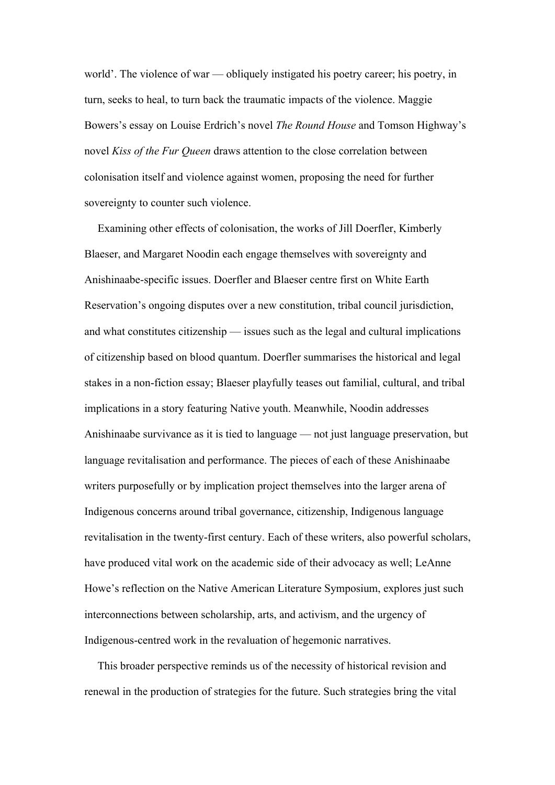world'. The violence of war — obliquely instigated his poetry career; his poetry, in turn, seeks to heal, to turn back the traumatic impacts of the violence. Maggie Bowers's essay on Louise Erdrich's novel *The Round House* and Tomson Highway's novel *Kiss of the Fur Queen* draws attention to the close correlation between colonisation itself and violence against women, proposing the need for further sovereignty to counter such violence.

Examining other effects of colonisation, the works of Jill Doerfler, Kimberly Blaeser, and Margaret Noodin each engage themselves with sovereignty and Anishinaabe-specific issues. Doerfler and Blaeser centre first on White Earth Reservation's ongoing disputes over a new constitution, tribal council jurisdiction, and what constitutes citizenship — issues such as the legal and cultural implications of citizenship based on blood quantum. Doerfler summarises the historical and legal stakes in a non-fiction essay; Blaeser playfully teases out familial, cultural, and tribal implications in a story featuring Native youth. Meanwhile, Noodin addresses Anishinaabe survivance as it is tied to language — not just language preservation, but language revitalisation and performance. The pieces of each of these Anishinaabe writers purposefully or by implication project themselves into the larger arena of Indigenous concerns around tribal governance, citizenship, Indigenous language revitalisation in the twenty-first century. Each of these writers, also powerful scholars, have produced vital work on the academic side of their advocacy as well; LeAnne Howe's reflection on the Native American Literature Symposium, explores just such interconnections between scholarship, arts, and activism, and the urgency of Indigenous-centred work in the revaluation of hegemonic narratives.

This broader perspective reminds us of the necessity of historical revision and renewal in the production of strategies for the future. Such strategies bring the vital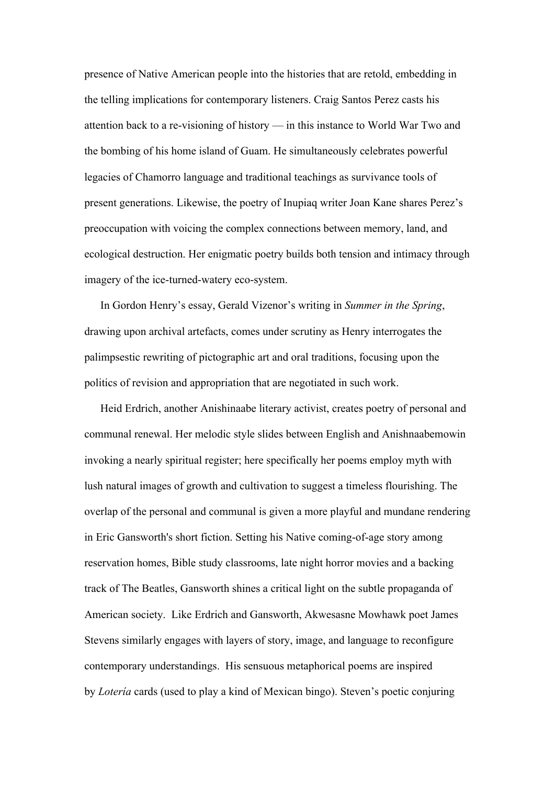presence of Native American people into the histories that are retold, embedding in the telling implications for contemporary listeners. Craig Santos Perez casts his attention back to a re-visioning of history — in this instance to World War Two and the bombing of his home island of Guam. He simultaneously celebrates powerful legacies of Chamorro language and traditional teachings as survivance tools of present generations. Likewise, the poetry of Inupiaq writer Joan Kane shares Perez's preoccupation with voicing the complex connections between memory, land, and ecological destruction. Her enigmatic poetry builds both tension and intimacy through imagery of the ice-turned-watery eco-system.

In Gordon Henry's essay, Gerald Vizenor's writing in *Summer in the Spring*, drawing upon archival artefacts, comes under scrutiny as Henry interrogates the palimpsestic rewriting of pictographic art and oral traditions, focusing upon the politics of revision and appropriation that are negotiated in such work.

Heid Erdrich, another Anishinaabe literary activist, creates poetry of personal and communal renewal. Her melodic style slides between English and Anishnaabemowin invoking a nearly spiritual register; here specifically her poems employ myth with lush natural images of growth and cultivation to suggest a timeless flourishing. The overlap of the personal and communal is given a more playful and mundane rendering in Eric Gansworth's short fiction. Setting his Native coming-of-age story among reservation homes, Bible study classrooms, late night horror movies and a backing track of The Beatles, Gansworth shines a critical light on the subtle propaganda of American society. Like Erdrich and Gansworth, Akwesasne Mowhawk poet James Stevens similarly engages with layers of story, image, and language to reconfigure contemporary understandings. His sensuous metaphorical poems are inspired by *Lotería* cards (used to play a kind of Mexican bingo). Steven's poetic conjuring